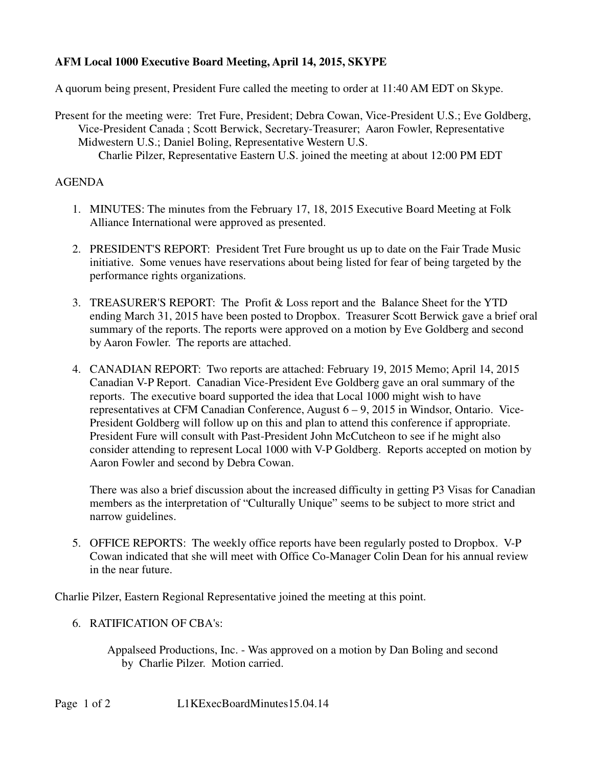## **AFM Local 1000 Executive Board Meeting, April 14, 2015, SKYPE**

A quorum being present, President Fure called the meeting to order at 11:40 AM EDT on Skype.

Present for the meeting were: Tret Fure, President; Debra Cowan, Vice-President U.S.; Eve Goldberg, Vice-President Canada ; Scott Berwick, Secretary-Treasurer; Aaron Fowler, Representative Midwestern U.S.; Daniel Boling, Representative Western U.S. Charlie Pilzer, Representative Eastern U.S. joined the meeting at about 12:00 PM EDT

## AGENDA

- 1. MINUTES: The minutes from the February 17, 18, 2015 Executive Board Meeting at Folk Alliance International were approved as presented.
- 2. PRESIDENT'S REPORT: President Tret Fure brought us up to date on the Fair Trade Music initiative. Some venues have reservations about being listed for fear of being targeted by the performance rights organizations.
- 3. TREASURER'S REPORT: The Profit & Loss report and the Balance Sheet for the YTD ending March 31, 2015 have been posted to Dropbox. Treasurer Scott Berwick gave a brief oral summary of the reports. The reports were approved on a motion by Eve Goldberg and second by Aaron Fowler. The reports are attached.
- 4. CANADIAN REPORT: Two reports are attached: February 19, 2015 Memo; April 14, 2015 Canadian V-P Report. Canadian Vice-President Eve Goldberg gave an oral summary of the reports. The executive board supported the idea that Local 1000 might wish to have representatives at CFM Canadian Conference, August 6 – 9, 2015 in Windsor, Ontario. Vice-President Goldberg will follow up on this and plan to attend this conference if appropriate. President Fure will consult with Past-President John McCutcheon to see if he might also consider attending to represent Local 1000 with V-P Goldberg. Reports accepted on motion by Aaron Fowler and second by Debra Cowan.

There was also a brief discussion about the increased difficulty in getting P3 Visas for Canadian members as the interpretation of "Culturally Unique" seems to be subject to more strict and narrow guidelines.

5. OFFICE REPORTS: The weekly office reports have been regularly posted to Dropbox. V-P Cowan indicated that she will meet with Office Co-Manager Colin Dean for his annual review in the near future.

Charlie Pilzer, Eastern Regional Representative joined the meeting at this point.

6. RATIFICATION OF CBA's:

Appalseed Productions, Inc. - Was approved on a motion by Dan Boling and second by Charlie Pilzer. Motion carried.